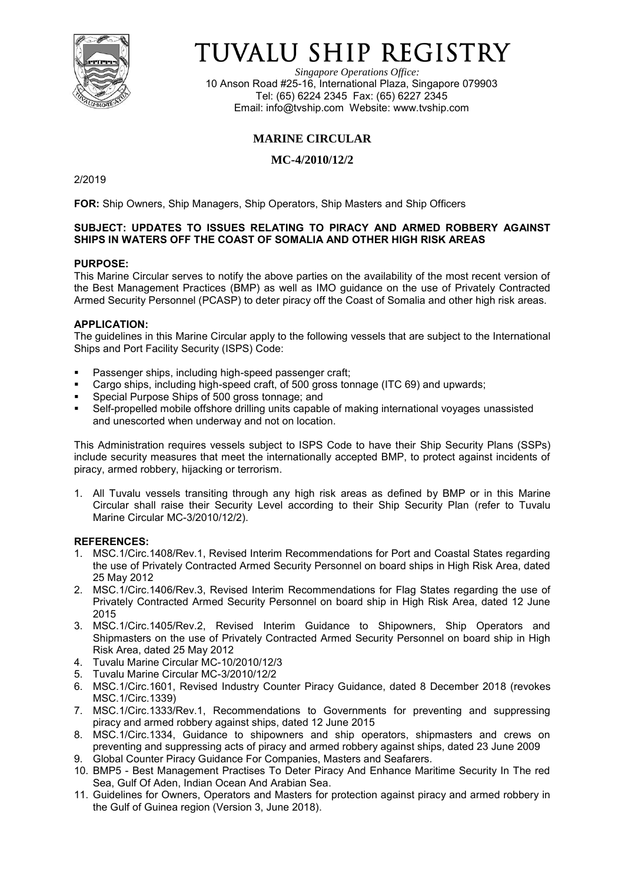

# TUVALU SHIP REGISTRY

*Singapore Operations Office:* 10 Anson Road #25-16, International Plaza, Singapore 079903 Tel: (65) 6224 2345 Fax: (65) 6227 2345 Email: [info@tvship.com](mailto:info@tvship.com) Website: [www.tvship.com](http://www.tvship.com/)

# **MARINE CIRCULAR**

# **MC-4/2010/12/2**

2/2019

**FOR:** Ship Owners, Ship Managers, Ship Operators, Ship Masters and Ship Officers

## **SUBJECT: UPDATES TO ISSUES RELATING TO PIRACY AND ARMED ROBBERY AGAINST SHIPS IN WATERS OFF THE COAST OF SOMALIA AND OTHER HIGH RISK AREAS**

## **PURPOSE:**

This Marine Circular serves to notify the above parties on the availability of the most recent version of the Best Management Practices (BMP) as well as IMO guidance on the use of Privately Contracted Armed Security Personnel (PCASP) to deter piracy off the Coast of Somalia and other high risk areas.

#### **APPLICATION:**

The guidelines in this Marine Circular apply to the following vessels that are subject to the International Ships and Port Facility Security (ISPS) Code:

- Passenger ships, including high-speed passenger craft;
- Cargo ships, including high-speed craft, of 500 gross tonnage (ITC 69) and upwards;
- Special Purpose Ships of 500 gross tonnage; and
- Self-propelled mobile offshore drilling units capable of making international voyages unassisted and unescorted when underway and not on location.

This Administration requires vessels subject to ISPS Code to have their Ship Security Plans (SSPs) include security measures that meet the internationally accepted BMP, to protect against incidents of piracy, armed robbery, hijacking or terrorism.

1. All Tuvalu vessels transiting through any high risk areas as defined by BMP or in this Marine Circular shall raise their Security Level according to their Ship Security Plan (refer to Tuvalu Marine Circular MC-3/2010/12/2).

## **REFERENCES:**

- 1. MSC.1/Circ.1408/Rev.1, Revised Interim Recommendations for Port and Coastal States regarding the use of Privately Contracted Armed Security Personnel on board ships in High Risk Area, dated 25 May 2012
- 2. MSC.1/Circ.1406/Rev.3, Revised Interim Recommendations for Flag States regarding the use of Privately Contracted Armed Security Personnel on board ship in High Risk Area, dated 12 June 2015
- 3. MSC.1/Circ.1405/Rev.2, Revised Interim Guidance to Shipowners, Ship Operators and Shipmasters on the use of Privately Contracted Armed Security Personnel on board ship in High Risk Area, dated 25 May 2012
- 4. Tuvalu Marine Circular MC-10/2010/12/3
- 5. Tuvalu Marine Circular MC-3/2010/12/2
- 6. MSC.1/Circ.1601, Revised Industry Counter Piracy Guidance, dated 8 December 2018 (revokes MSC.1/Circ.1339)
- 7. MSC.1/Circ.1333/Rev.1, Recommendations to Governments for preventing and suppressing piracy and armed robbery against ships, dated 12 June 2015
- 8. MSC.1/Circ.1334, Guidance to shipowners and ship operators, shipmasters and crews on preventing and suppressing acts of piracy and armed robbery against ships, dated 23 June 2009
- 9. Global Counter Piracy Guidance For Companies, Masters and Seafarers.
- 10. BMP5 Best Management Practises To Deter Piracy And Enhance Maritime Security In The red Sea, Gulf Of Aden, Indian Ocean And Arabian Sea.
- 11. Guidelines for Owners, Operators and Masters for protection against piracy and armed robbery in the Gulf of Guinea region (Version 3, June 2018).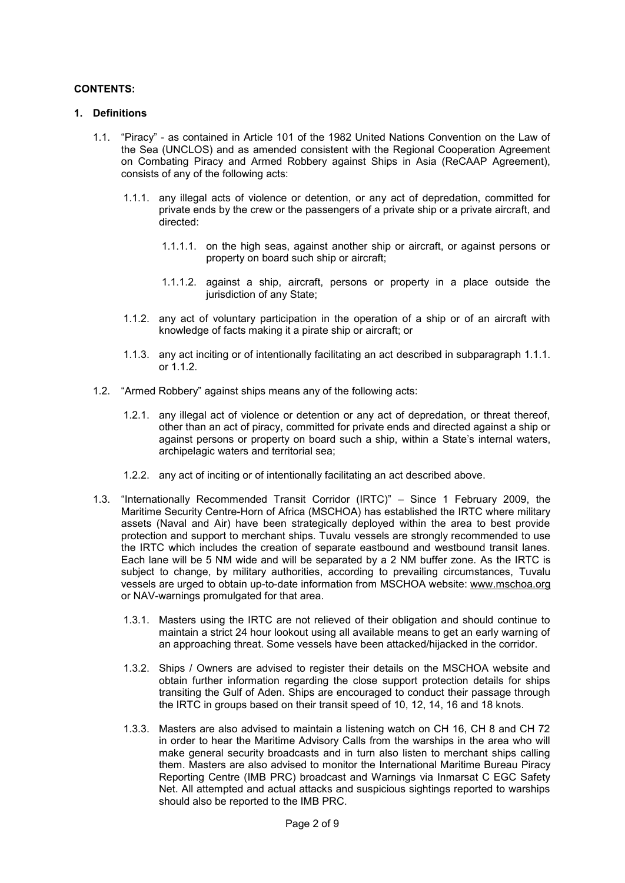#### **CONTENTS:**

#### **1. Definitions**

- 1.1. "Piracy" as contained in Article 101 of the 1982 United Nations Convention on the Law of the Sea (UNCLOS) and as amended consistent with the Regional Cooperation Agreement on Combating Piracy and Armed Robbery against Ships in Asia (ReCAAP Agreement), consists of any of the following acts:
	- 1.1.1. any illegal acts of violence or detention, or any act of depredation, committed for private ends by the crew or the passengers of a private ship or a private aircraft, and directed:
		- 1.1.1.1. on the high seas, against another ship or aircraft, or against persons or property on board such ship or aircraft;
		- 1.1.1.2. against a ship, aircraft, persons or property in a place outside the jurisdiction of any State;
	- 1.1.2. any act of voluntary participation in the operation of a ship or of an aircraft with knowledge of facts making it a pirate ship or aircraft; or
	- 1.1.3. any act inciting or of intentionally facilitating an act described in subparagraph 1.1.1. or 1.1.2.
- 1.2. "Armed Robbery" against ships means any of the following acts:
	- 1.2.1. any illegal act of violence or detention or any act of depredation, or threat thereof, other than an act of piracy, committed for private ends and directed against a ship or against persons or property on board such a ship, within a State's internal waters, archipelagic waters and territorial sea;
	- 1.2.2. any act of inciting or of intentionally facilitating an act described above.
- 1.3. "Internationally Recommended Transit Corridor (IRTC)" Since 1 February 2009, the Maritime Security Centre-Horn of Africa (MSCHOA) has established the IRTC where military assets (Naval and Air) have been strategically deployed within the area to best provide protection and support to merchant ships. Tuvalu vessels are strongly recommended to use the IRTC which includes the creation of separate eastbound and westbound transit lanes. Each lane will be 5 NM wide and will be separated by a 2 NM buffer zone. As the IRTC is subject to change, by military authorities, according to prevailing circumstances, Tuvalu vessels are urged to obtain up-to-date information from MSCHOA website: www.mschoa.org or NAV-warnings promulgated for that area.
	- 1.3.1. Masters using the IRTC are not relieved of their obligation and should continue to maintain a strict 24 hour lookout using all available means to get an early warning of an approaching threat. Some vessels have been attacked/hijacked in the corridor.
	- 1.3.2. Ships / Owners are advised to register their details on the MSCHOA website and obtain further information regarding the close support protection details for ships transiting the Gulf of Aden. Ships are encouraged to conduct their passage through the IRTC in groups based on their transit speed of 10, 12, 14, 16 and 18 knots.
	- 1.3.3. Masters are also advised to maintain a listening watch on CH 16, CH 8 and CH 72 in order to hear the Maritime Advisory Calls from the warships in the area who will make general security broadcasts and in turn also listen to merchant ships calling them. Masters are also advised to monitor the International Maritime Bureau Piracy Reporting Centre (IMB PRC) broadcast and Warnings via Inmarsat C EGC Safety Net. All attempted and actual attacks and suspicious sightings reported to warships should also be reported to the IMB PRC.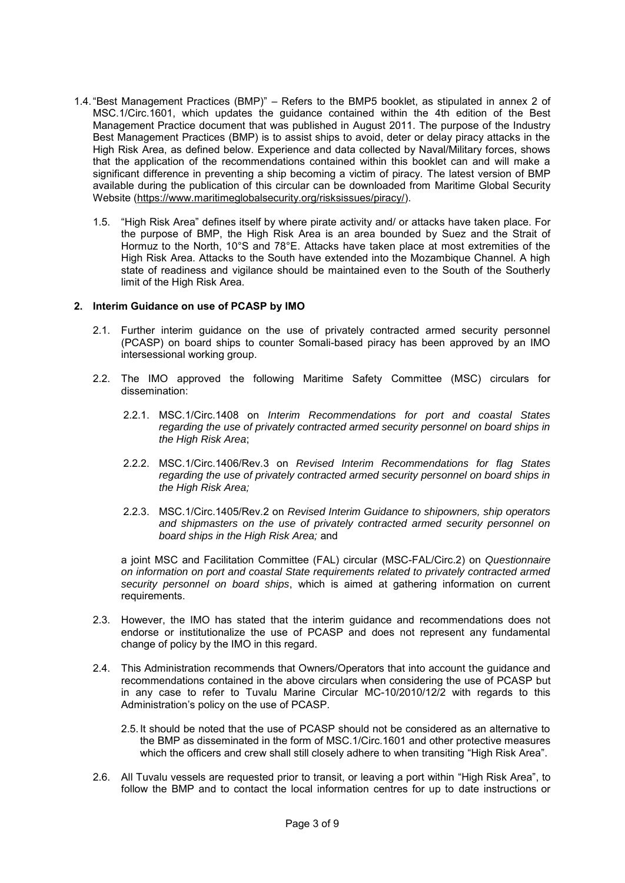- 1.4."Best Management Practices (BMP)" Refers to the BMP5 booklet, as stipulated in annex 2 of MSC.1/Circ.1601, which updates the guidance contained within the 4th edition of the Best Management Practice document that was published in August 2011. The purpose of the Industry Best Management Practices (BMP) is to assist ships to avoid, deter or delay piracy attacks in the High Risk Area, as defined below. Experience and data collected by Naval/Military forces, shows that the application of the recommendations contained within this booklet can and will make a significant difference in preventing a ship becoming a victim of piracy. The latest version of BMP available during the publication of this circular can be downloaded from Maritime Global Security Website [\(https://www.maritimeglobalsecurity.org/risksissues/piracy/\)](https://www.maritimeglobalsecurity.org/risksissues/piracy/).
	- 1.5. "High Risk Area" defines itself by where pirate activity and/ or attacks have taken place. For the purpose of BMP, the High Risk Area is an area bounded by Suez and the Strait of Hormuz to the North, 10°S and 78°E. Attacks have taken place at most extremities of the High Risk Area. Attacks to the South have extended into the Mozambique Channel. A high state of readiness and vigilance should be maintained even to the South of the Southerly limit of the High Risk Area.

#### **2. Interim Guidance on use of PCASP by IMO**

- 2.1. Further interim guidance on the use of privately contracted armed security personnel (PCASP) on board ships to counter Somali-based piracy has been approved by an IMO intersessional working group.
- 2.2. The IMO approved the following Maritime Safety Committee (MSC) circulars for dissemination:
	- 2.2.1. MSC.1/Circ.1408 on *Interim Recommendations for port and coastal States regarding the use of privately contracted armed security personnel on board ships in the High Risk Area*;
	- 2.2.2. MSC.1/Circ.1406/Rev.3 on *Revised Interim Recommendations for flag States regarding the use of privately contracted armed security personnel on board ships in the High Risk Area;*
	- 2.2.3. MSC.1/Circ.1405/Rev.2 on *Revised Interim Guidance to shipowners, ship operators and shipmasters on the use of privately contracted armed security personnel on board ships in the High Risk Area;* and

a joint MSC and Facilitation Committee (FAL) circular (MSC-FAL/Circ.2) on *Questionnaire on information on port and coastal State requirements related to privately contracted armed security personnel on board ships*, which is aimed at gathering information on current requirements.

- 2.3. However, the IMO has stated that the interim guidance and recommendations does not endorse or institutionalize the use of PCASP and does not represent any fundamental change of policy by the IMO in this regard.
- 2.4. This Administration recommends that Owners/Operators that into account the guidance and recommendations contained in the above circulars when considering the use of PCASP but in any case to refer to Tuvalu Marine Circular MC-10/2010/12/2 with regards to this Administration's policy on the use of PCASP.
	- 2.5. It should be noted that the use of PCASP should not be considered as an alternative to the BMP as disseminated in the form of MSC.1/Circ.1601 and other protective measures which the officers and crew shall still closely adhere to when transiting "High Risk Area".
- 2.6. All Tuvalu vessels are requested prior to transit, or leaving a port within "High Risk Area", to follow the BMP and to contact the local information centres for up to date instructions or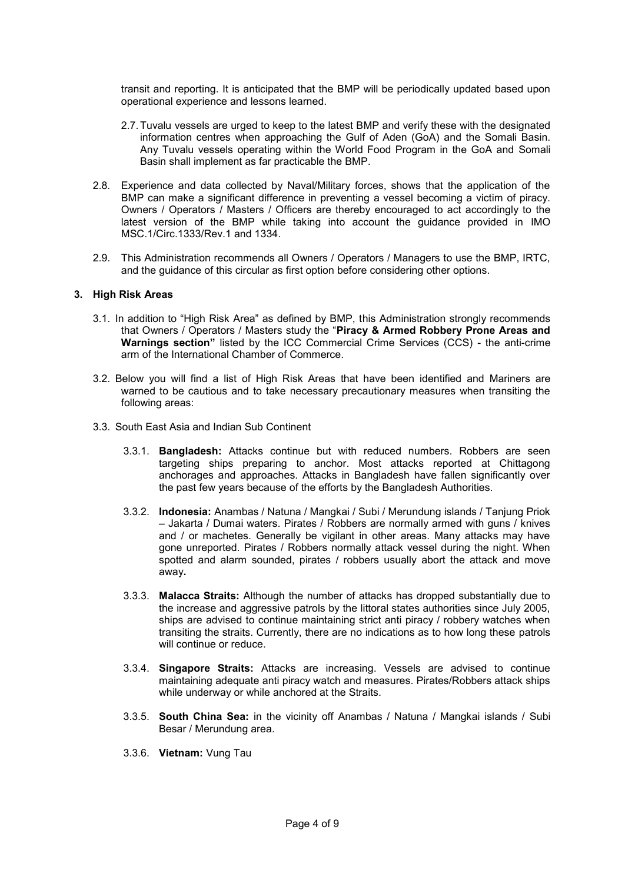transit and reporting. It is anticipated that the BMP will be periodically updated based upon operational experience and lessons learned.

- 2.7.Tuvalu vessels are urged to keep to the latest BMP and verify these with the designated information centres when approaching the Gulf of Aden (GoA) and the Somali Basin. Any Tuvalu vessels operating within the World Food Program in the GoA and Somali Basin shall implement as far practicable the BMP.
- 2.8. Experience and data collected by Naval/Military forces, shows that the application of the BMP can make a significant difference in preventing a vessel becoming a victim of piracy. Owners / Operators / Masters / Officers are thereby encouraged to act accordingly to the latest version of the BMP while taking into account the guidance provided in IMO MSC.1/Circ.1333/Rev.1 and 1334.
- 2.9. This Administration recommends all Owners / Operators / Managers to use the BMP, IRTC, and the guidance of this circular as first option before considering other options.

#### **3. High Risk Areas**

- 3.1. In addition to "High Risk Area" as defined by BMP, this Administration strongly recommends that Owners / Operators / Masters study the "**Piracy & Armed Robbery Prone Areas and Warnings section"** listed by the ICC Commercial Crime Services (CCS) - the anti-crime arm of the International Chamber of Commerce.
- 3.2. Below you will find a list of High Risk Areas that have been identified and Mariners are warned to be cautious and to take necessary precautionary measures when transiting the following areas:
- 3.3. South East Asia and Indian Sub Continent
	- 3.3.1. **Bangladesh:** Attacks continue but with reduced numbers. Robbers are seen targeting ships preparing to anchor. Most attacks reported at Chittagong anchorages and approaches. Attacks in Bangladesh have fallen significantly over the past few years because of the efforts by the Bangladesh Authorities.
	- 3.3.2. **Indonesia:** Anambas / Natuna / Mangkai / Subi / Merundung islands / Tanjung Priok – Jakarta / Dumai waters. Pirates / Robbers are normally armed with guns / knives and / or machetes. Generally be vigilant in other areas. Many attacks may have gone unreported. Pirates / Robbers normally attack vessel during the night. When spotted and alarm sounded, pirates / robbers usually abort the attack and move away**.**
	- 3.3.3. **Malacca Straits:** Although the number of attacks has dropped substantially due to the increase and aggressive patrols by the littoral states authorities since July 2005, ships are advised to continue maintaining strict anti piracy / robbery watches when transiting the straits. Currently, there are no indications as to how long these patrols will continue or reduce.
	- 3.3.4. **Singapore Straits:** Attacks are increasing. Vessels are advised to continue maintaining adequate anti piracy watch and measures. Pirates/Robbers attack ships while underway or while anchored at the Straits.
	- 3.3.5. **South China Sea:** in the vicinity off Anambas / Natuna / Mangkai islands / Subi Besar / Merundung area.
	- 3.3.6. **Vietnam:** Vung Tau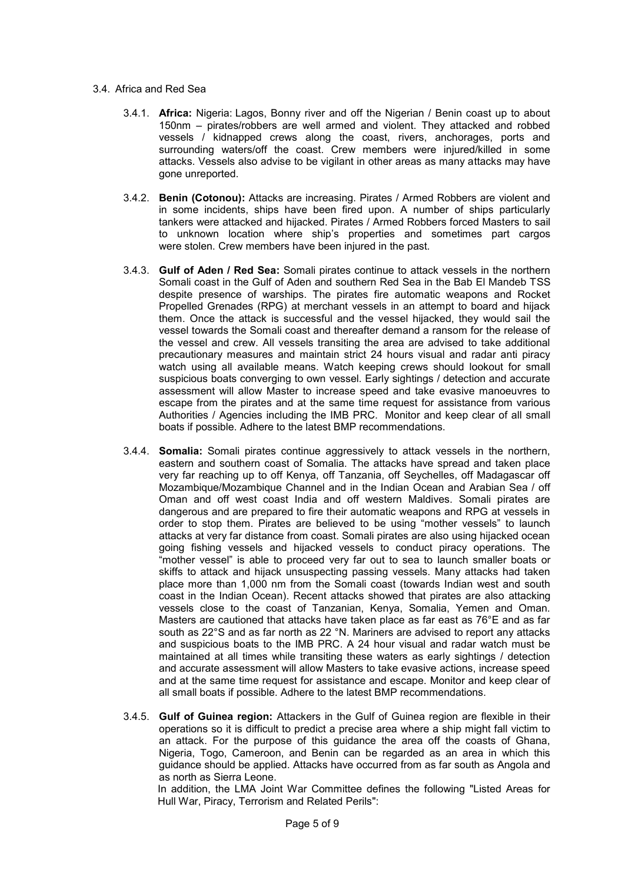#### 3.4. Africa and Red Sea

- 3.4.1. **Africa:** Nigeria: Lagos, Bonny river and off the Nigerian / Benin coast up to about 150nm – pirates/robbers are well armed and violent. They attacked and robbed vessels / kidnapped crews along the coast, rivers, anchorages, ports and surrounding waters/off the coast. Crew members were injured/killed in some attacks. Vessels also advise to be vigilant in other areas as many attacks may have gone unreported.
- 3.4.2. **Benin (Cotonou):** Attacks are increasing. Pirates / Armed Robbers are violent and in some incidents, ships have been fired upon. A number of ships particularly tankers were attacked and hijacked. Pirates / Armed Robbers forced Masters to sail to unknown location where ship's properties and sometimes part cargos were stolen. Crew members have been injured in the past.
- 3.4.3. **Gulf of Aden / Red Sea:** Somali pirates continue to attack vessels in the northern Somali coast in the Gulf of Aden and southern Red Sea in the Bab El Mandeb TSS despite presence of warships. The pirates fire automatic weapons and Rocket Propelled Grenades (RPG) at merchant vessels in an attempt to board and hijack them. Once the attack is successful and the vessel hijacked, they would sail the vessel towards the Somali coast and thereafter demand a ransom for the release of the vessel and crew. All vessels transiting the area are advised to take additional precautionary measures and maintain strict 24 hours visual and radar anti piracy watch using all available means. Watch keeping crews should lookout for small suspicious boats converging to own vessel. Early sightings / detection and accurate assessment will allow Master to increase speed and take evasive manoeuvres to escape from the pirates and at the same time request for assistance from various Authorities / Agencies including the IMB PRC. Monitor and keep clear of all small boats if possible. Adhere to the latest BMP recommendations.
- 3.4.4. **Somalia:** Somali pirates continue aggressively to attack vessels in the northern, eastern and southern coast of Somalia. The attacks have spread and taken place very far reaching up to off Kenya, off Tanzania, off Seychelles, off Madagascar off Mozambique/Mozambique Channel and in the Indian Ocean and Arabian Sea / off Oman and off west coast India and off western Maldives. Somali pirates are dangerous and are prepared to fire their automatic weapons and RPG at vessels in order to stop them. Pirates are believed to be using "mother vessels" to launch attacks at very far distance from coast. Somali pirates are also using hijacked ocean going fishing vessels and hijacked vessels to conduct piracy operations. The "mother vessel" is able to proceed very far out to sea to launch smaller boats or skiffs to attack and hijack unsuspecting passing vessels. Many attacks had taken place more than 1,000 nm from the Somali coast (towards Indian west and south coast in the Indian Ocean). Recent attacks showed that pirates are also attacking vessels close to the coast of Tanzanian, Kenya, Somalia, Yemen and Oman. Masters are cautioned that attacks have taken place as far east as 76°E and as far south as 22°S and as far north as 22 °N. Mariners are advised to report any attacks and suspicious boats to the IMB PRC. A 24 hour visual and radar watch must be maintained at all times while transiting these waters as early sightings / detection and accurate assessment will allow Masters to take evasive actions, increase speed and at the same time request for assistance and escape. Monitor and keep clear of all small boats if possible. Adhere to the latest BMP recommendations.
- 3.4.5. **Gulf of Guinea region:** Attackers in the Gulf of Guinea region are flexible in their operations so it is difficult to predict a precise area where a ship might fall victim to an attack. For the purpose of this guidance the area off the coasts of Ghana, Nigeria, Togo, Cameroon, and Benin can be regarded as an area in which this guidance should be applied. Attacks have occurred from as far south as Angola and as north as Sierra Leone.

In addition, the LMA Joint War Committee defines the following "Listed Areas for Hull War, Piracy, Terrorism and Related Perils":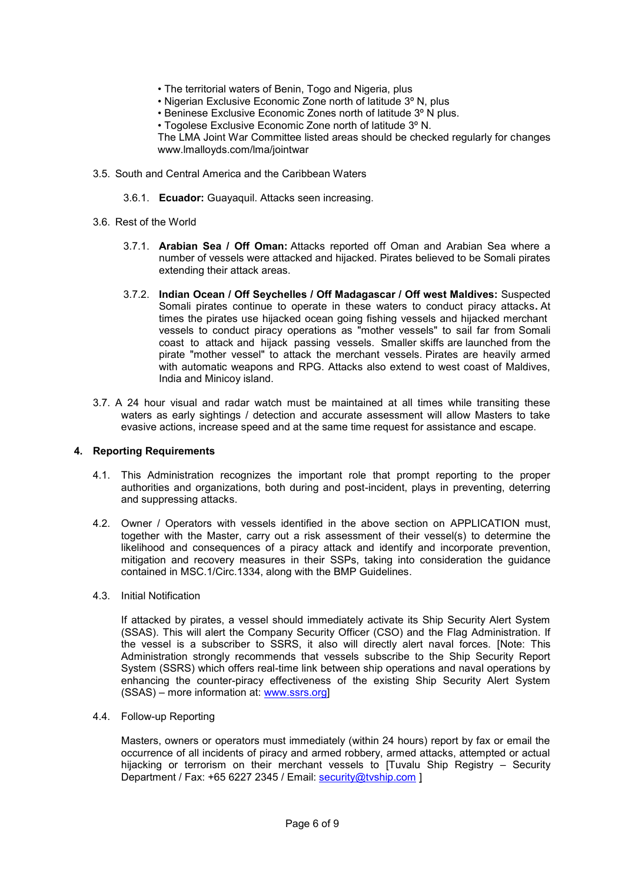- The territorial waters of Benin, Togo and Nigeria, plus
- Nigerian Exclusive Economic Zone north of latitude 3º N, plus
- Beninese Exclusive Economic Zones north of latitude 3º N plus.
- Togolese Exclusive Economic Zone north of latitude 3º N.

The LMA Joint War Committee listed areas should be checked regularly for changes www.lmalloyds.com/lma/jointwar

- 3.5. South and Central America and the Caribbean Waters
	- 3.6.1. **Ecuador:** Guayaquil. Attacks seen increasing.
- 3.6. Rest of the World
	- 3.7.1. **Arabian Sea / Off Oman:** Attacks reported off Oman and Arabian Sea where a number of vessels were attacked and hijacked. Pirates believed to be Somali pirates extending their attack areas.
	- 3.7.2. **Indian Ocean / Off Seychelles / Off Madagascar / Off west Maldives:** Suspected Somali pirates continue to operate in these waters to conduct piracy attacks**.** At times the pirates use hijacked ocean going fishing vessels and hijacked merchant vessels to conduct piracy operations as "mother vessels" to sail far from Somali coast to attack and hijack passing vessels. Smaller skiffs are launched from the pirate "mother vessel" to attack the merchant vessels. Pirates are heavily armed with automatic weapons and RPG. Attacks also extend to west coast of Maldives, India and Minicoy island.
- 3.7. A 24 hour visual and radar watch must be maintained at all times while transiting these waters as early sightings / detection and accurate assessment will allow Masters to take evasive actions, increase speed and at the same time request for assistance and escape.

## **4. Reporting Requirements**

- 4.1. This Administration recognizes the important role that prompt reporting to the proper authorities and organizations, both during and post-incident, plays in preventing, deterring and suppressing attacks.
- 4.2. Owner / Operators with vessels identified in the above section on APPLICATION must, together with the Master, carry out a risk assessment of their vessel(s) to determine the likelihood and consequences of a piracy attack and identify and incorporate prevention, mitigation and recovery measures in their SSPs, taking into consideration the guidance contained in MSC.1/Circ.1334, along with the BMP Guidelines.
- 4.3. Initial Notification

If attacked by pirates, a vessel should immediately activate its Ship Security Alert System (SSAS). This will alert the Company Security Officer (CSO) and the Flag Administration. If the vessel is a subscriber to SSRS, it also will directly alert naval forces. [Note: This Administration strongly recommends that vessels subscribe to the Ship Security Report System (SSRS) which offers real-time link between ship operations and naval operations by enhancing the counter-piracy effectiveness of the existing Ship Security Alert System (SSAS) – more information at: [www.ssrs.org\]](http://www.ssrs.org/)

4.4. Follow-up Reporting

Masters, owners or operators must immediately (within 24 hours) report by fax or email the occurrence of all incidents of piracy and armed robbery, armed attacks, attempted or actual hijacking or terrorism on their merchant vessels to [Tuvalu Ship Registry – Security Department / Fax: +65 6227 2345 / Email: [security@tvship.com](mailto:security@tvship.com) ]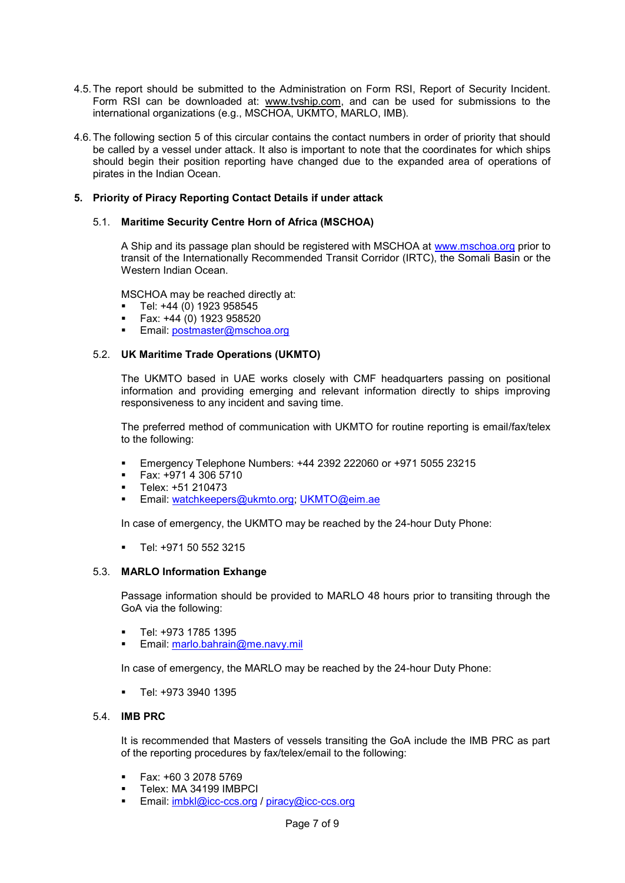- 4.5.The report should be submitted to the Administration on Form RSI, Report of Security Incident. Form RSI can be downloaded at: www.tvship.com, and can be used for submissions to the international organizations (e.g., MSCHOA, UKMTO, MARLO, IMB).
- 4.6.The following section 5 of this circular contains the contact numbers in order of priority that should be called by a vessel under attack. It also is important to note that the coordinates for which ships should begin their position reporting have changed due to the expanded area of operations of pirates in the Indian Ocean.

#### **5. Priority of Piracy Reporting Contact Details if under attack**

#### 5.1. **Maritime Security Centre Horn of Africa (MSCHOA)**

A Ship and its passage plan should be registered with MSCHOA at [www.mschoa.org](http://www.mschoa.org/) prior to transit of the Internationally Recommended Transit Corridor (IRTC), the Somali Basin or the Western Indian Ocean.

MSCHOA may be reached directly at:

- Tel: +44 (0) 1923 958545
- Fax: +44 (0) 1923 958520
- Email: [postmaster@mschoa.org](mailto:postmaster@mschoa.org)

#### 5.2. **UK Maritime Trade Operations (UKMTO)**

The UKMTO based in UAE works closely with CMF headquarters passing on positional information and providing emerging and relevant information directly to ships improving responsiveness to any incident and saving time.

The preferred method of communication with UKMTO for routine reporting is email/fax/telex to the following:

- Emergency Telephone Numbers: +44 2392 222060 or +971 5055 23215
- Fax: +971 4 306 5710
- Telex: +51 210473
- Email: [watchkeepers@ukmto.org;](mailto:watchkeepers@ukmto.org) [UKMTO@eim.ae](mailto:UKMTO@eim.ae)

In case of emergency, the UKMTO may be reached by the 24-hour Duty Phone:

▪ Tel: +971 50 552 3215

#### 5.3. **MARLO Information Exhange**

Passage information should be provided to MARLO 48 hours prior to transiting through the GoA via the following:

- Tel: +973 1785 1395
- Email: [marlo.bahrain@me.navy.mil](mailto:marlo.bahrain@me.navy.mil)

In case of emergency, the MARLO may be reached by the 24-hour Duty Phone:

▪ Tel: +973 3940 1395

#### 5.4. **IMB PRC**

It is recommended that Masters of vessels transiting the GoA include the IMB PRC as part of the reporting procedures by fax/telex/email to the following:

- Fax: +60 3 2078 5769
- Telex: MA 34199 IMBPCI
- Email: [imbkl@icc-ccs.org](mailto:imbkl@icc-ccs.org) / [piracy@icc-ccs.org](mailto:piracy@icc-ccs.org)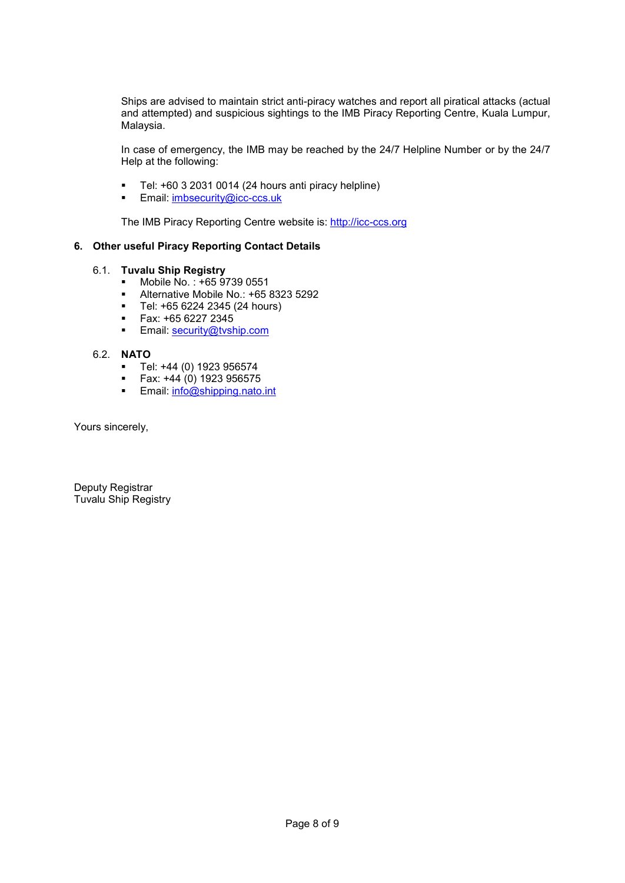Ships are advised to maintain strict anti-piracy watches and report all piratical attacks (actual and attempted) and suspicious sightings to the IMB Piracy Reporting Centre, Kuala Lumpur, Malaysia.

In case of emergency, the IMB may be reached by the 24/7 Helpline Number or by the 24/7 Help at the following:

- Tel: +60 3 2031 0014 (24 hours anti piracy helpline)
- Email: [imbsecurity@icc-ccs.uk](mailto:imbsecurity@icc-ccs.uk)

The IMB Piracy Reporting Centre website is: [http://icc-ccs.org](http://icc-ccs.org/)

# **6. Other useful Piracy Reporting Contact Details**

## 6.1. **Tuvalu Ship Registry**

- Mobile No. :  $+6597390551$ <br>■ Alternative Mobile No. :  $+659$
- Alternative Mobile No.:  $+6583235292$ <br>■ Tel:  $+6562242345(24 hours)$
- Tel: +65 6224 2345 (24 hours)
- Fax: +65 6227 2345<br>■ Fmail: security@tysh
- Email: [security@tvship.com](mailto:security@tvship.com)

## 6.2. **NATO**

- Tel: +44 (0) 1923 956574<br>■ Eav: +44 (0) 1923 956575
- Fax: +44 (0) 1923 956575
- **Email:** [info@shipping.nato.int](mailto:info@shipping.nato.int)

Yours sincerely,

Deputy Registrar Tuvalu Ship Registry